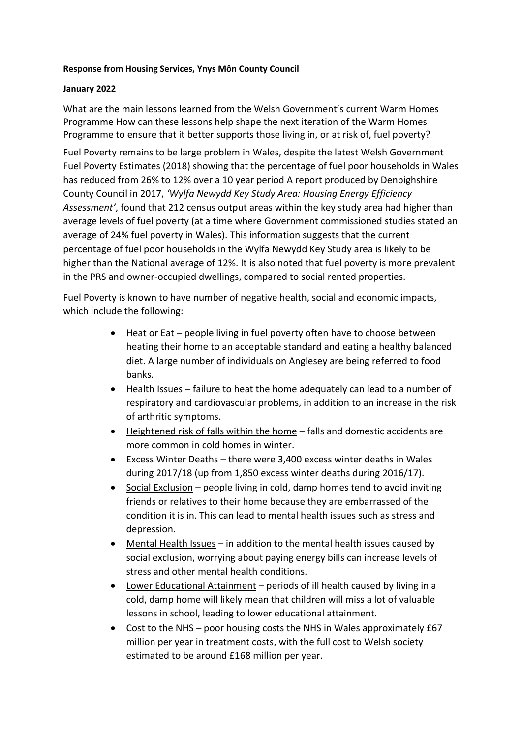#### **Response from Housing Services, Ynys Môn County Council**

#### **January 2022**

What are the main lessons learned from the Welsh Government's current Warm Homes Programme How can these lessons help shape the next iteration of the Warm Homes Programme to ensure that it better supports those living in, or at risk of, fuel poverty?

Fuel Poverty remains to be large problem in Wales, despite the latest Welsh Government Fuel Poverty Estimates (2018) showing that the percentage of fuel poor households in Wales has reduced from 26% to 12% over a 10 year period A report produced by Denbighshire County Council in 2017, *'Wylfa Newydd Key Study Area: Housing Energy Efficiency Assessment'*, found that 212 census output areas within the key study area had higher than average levels of fuel poverty (at a time where Government commissioned studies stated an average of 24% fuel poverty in Wales). This information suggests that the current percentage of fuel poor households in the Wylfa Newydd Key Study area is likely to be higher than the National average of 12%. It is also noted that fuel poverty is more prevalent in the PRS and owner-occupied dwellings, compared to social rented properties.

Fuel Poverty is known to have number of negative health, social and economic impacts, which include the following:

- Heat or Eat people living in fuel poverty often have to choose between heating their home to an acceptable standard and eating a healthy balanced diet. A large number of individuals on Anglesey are being referred to food banks.
- Health Issues failure to heat the home adequately can lead to a number of respiratory and cardiovascular problems, in addition to an increase in the risk of arthritic symptoms.
- Heightened risk of falls within the home falls and domestic accidents are more common in cold homes in winter.
- Excess Winter Deaths there were 3,400 excess winter deaths in Wales during 2017/18 (up from 1,850 excess winter deaths during 2016/17).
- Social Exclusion people living in cold, damp homes tend to avoid inviting friends or relatives to their home because they are embarrassed of the condition it is in. This can lead to mental health issues such as stress and depression.
- Mental Health Issues in addition to the mental health issues caused by social exclusion, worrying about paying energy bills can increase levels of stress and other mental health conditions.
- Lower Educational Attainment periods of ill health caused by living in a cold, damp home will likely mean that children will miss a lot of valuable lessons in school, leading to lower educational attainment.
- Cost to the NHS poor housing costs the NHS in Wales approximately £67 million per year in treatment costs, with the full cost to Welsh society estimated to be around £168 million per year.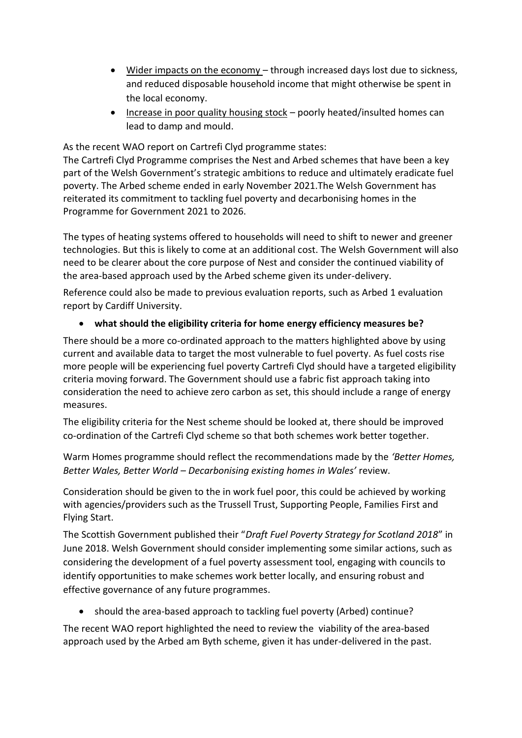- Wider impacts on the economy through increased days lost due to sickness, and reduced disposable household income that might otherwise be spent in the local economy.
- Increase in poor quality housing stock poorly heated/insulted homes can lead to damp and mould.

As the recent WAO report on Cartrefi Clyd programme states:

The Cartrefi Clyd Programme comprises the Nest and Arbed schemes that have been a key part of the Welsh Government's strategic ambitions to reduce and ultimately eradicate fuel poverty. The Arbed scheme ended in early November 2021.The Welsh Government has reiterated its commitment to tackling fuel poverty and decarbonising homes in the Programme for Government 2021 to 2026.

The types of heating systems offered to households will need to shift to newer and greener technologies. But this is likely to come at an additional cost. The Welsh Government will also need to be clearer about the core purpose of Nest and consider the continued viability of the area-based approach used by the Arbed scheme given its under-delivery.

Reference could also be made to previous evaluation reports, such as Arbed 1 evaluation report by Cardiff University.

# **what should the eligibility criteria for home energy efficiency measures be?**

There should be a more co-ordinated approach to the matters highlighted above by using current and available data to target the most vulnerable to fuel poverty. As fuel costs rise more people will be experiencing fuel poverty Cartrefi Clyd should have a targeted eligibility criteria moving forward. The Government should use a fabric fist approach taking into consideration the need to achieve zero carbon as set, this should include a range of energy measures.

The eligibility criteria for the Nest scheme should be looked at, there should be improved co-ordination of the Cartrefi Clyd scheme so that both schemes work better together.

Warm Homes programme should reflect the recommendations made by the *'Better Homes, Better Wales, Better World – Decarbonising existing homes in Wales'* review.

Consideration should be given to the in work fuel poor, this could be achieved by working with agencies/providers such as the Trussell Trust, Supporting People, Families First and Flying Start.

The Scottish Government published their "*Draft Fuel Poverty Strategy for Scotland 2018*" in June 2018. Welsh Government should consider implementing some similar actions, such as considering the development of a fuel poverty assessment tool, engaging with councils to identify opportunities to make schemes work better locally, and ensuring robust and effective governance of any future programmes.

should the area-based approach to tackling fuel poverty (Arbed) continue?

The recent WAO report highlighted the need to review the viability of the area-based approach used by the Arbed am Byth scheme, given it has under-delivered in the past.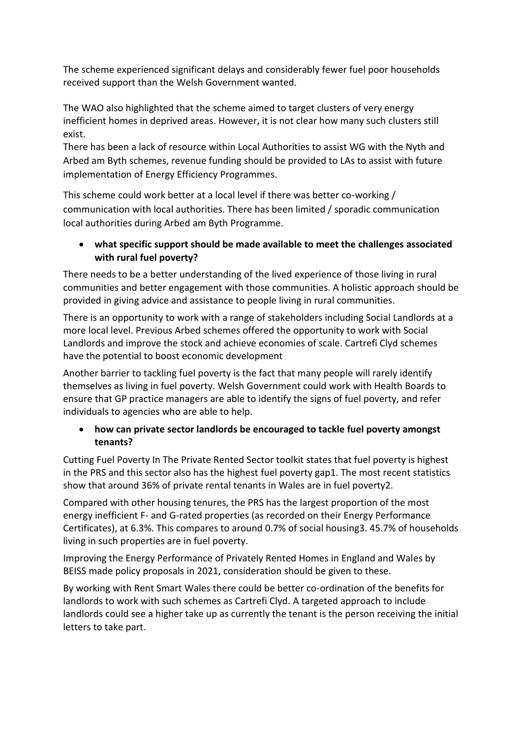The scheme experienced significant delays and considerably fewer fuel poor households received support than the Welsh Government wanted.

The WAO also highlighted that the scheme aimed to target clusters of very energy inefficient homes in deprived areas. However, it is not clear how many such clusters still exist.

There has been a lack of resource within Local Authorities to assist WG with the Nyth and Arbed am Byth schemes, revenue funding should be provided to LAs to assist with future implementation of Energy Efficiency Programmes.

This scheme could work better at a local level if there was better co-working / communication with local authorities. There has been limited / sporadic communication local authorities during Arbed am Byth Programme.

# **what specific support should be made available to meet the challenges associated with rural fuel poverty?**

There needs to be a better understanding of the lived experience of those living in rural communities and better engagement with those communities. A holistic approach should be provided in giving advice and assistance to people living in rural communities.

There is an opportunity to work with a range of stakeholders including Social Landlords at a more local level. Previous Arbed schemes offered the opportunity to work with Social Landlords and improve the stock and achieve economies of scale. Cartrefi Clyd schemes have the potential to boost economic development

Another barrier to tackling fuel poverty is the fact that many people will rarely identify themselves as living in fuel poverty. Welsh Government could work with Health Boards to ensure that GP practice managers are able to identify the signs of fuel poverty, and refer individuals to agencies who are able to help.

# **how can private sector landlords be encouraged to tackle fuel poverty amongst tenants?**

Cutting Fuel Poverty In The Private Rented Sector toolkit states that fuel poverty is highest in the PRS and this sector also has the highest fuel poverty gap1. The most recent statistics show that around 36% of private rental tenants in Wales are in fuel poverty2.

Compared with other housing tenures, the PRS has the largest proportion of the most energy inefficient F- and G-rated properties (as recorded on their Energy Performance Certificates), at 6.3%. This compares to around 0.7% of social housing3. 45.7% of households living in such properties are in fuel poverty.

Improving the Energy Performance of Privately Rented Homes in England and Wales by BEISS made policy proposals in 2021, consideration should be given to these.

By working with Rent Smart Wales there could be better co-ordination of the benefits for landlords to work with such schemes as Cartrefi Clyd. A targeted approach to include landlords could see a higher take up as currently the tenant is the person receiving the initial letters to take part.